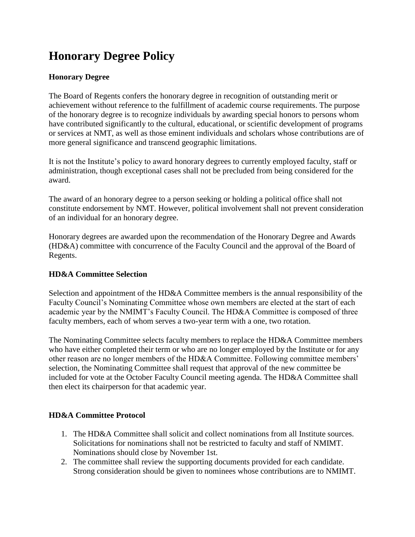# **Honorary Degree Policy**

## **Honorary Degree**

The Board of Regents confers the honorary degree in recognition of outstanding merit or achievement without reference to the fulfillment of academic course requirements. The purpose of the honorary degree is to recognize individuals by awarding special honors to persons whom have contributed significantly to the cultural, educational, or scientific development of programs or services at NMT, as well as those eminent individuals and scholars whose contributions are of more general significance and transcend geographic limitations.

It is not the Institute's policy to award honorary degrees to currently employed faculty, staff or administration, though exceptional cases shall not be precluded from being considered for the award.

The award of an honorary degree to a person seeking or holding a political office shall not constitute endorsement by NMT. However, political involvement shall not prevent consideration of an individual for an honorary degree.

Honorary degrees are awarded upon the recommendation of the Honorary Degree and Awards (HD&A) committee with concurrence of the Faculty Council and the approval of the Board of Regents.

### **HD&A Committee Selection**

Selection and appointment of the HD&A Committee members is the annual responsibility of the Faculty Council's Nominating Committee whose own members are elected at the start of each academic year by the NMIMT's Faculty Council. The HD&A Committee is composed of three faculty members, each of whom serves a two-year term with a one, two rotation.

The Nominating Committee selects faculty members to replace the HD&A Committee members who have either completed their term or who are no longer employed by the Institute or for any other reason are no longer members of the HD&A Committee. Following committee members' selection, the Nominating Committee shall request that approval of the new committee be included for vote at the October Faculty Council meeting agenda. The HD&A Committee shall then elect its chairperson for that academic year.

### **HD&A Committee Protocol**

- 1. The HD&A Committee shall solicit and collect nominations from all Institute sources. Solicitations for nominations shall not be restricted to faculty and staff of NMIMT. Nominations should close by November 1st.
- 2. The committee shall review the supporting documents provided for each candidate. Strong consideration should be given to nominees whose contributions are to NMIMT.